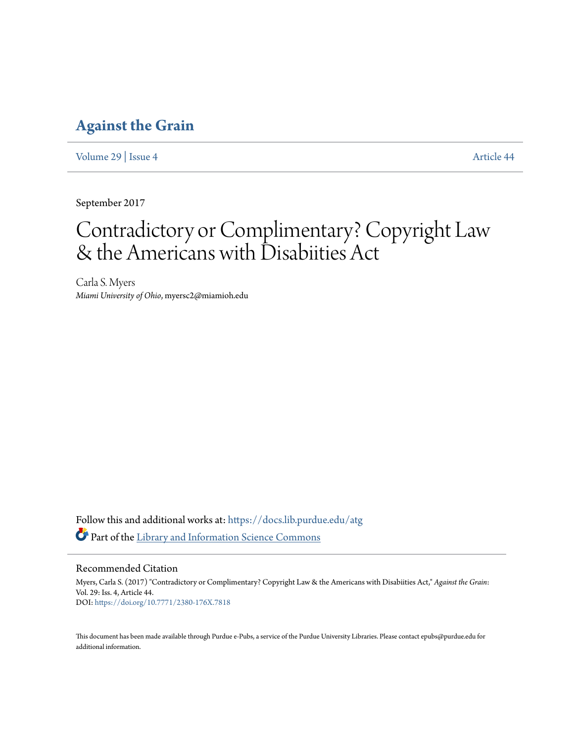### **[Against the Grain](https://docs.lib.purdue.edu/atg?utm_source=docs.lib.purdue.edu%2Fatg%2Fvol29%2Fiss4%2F44&utm_medium=PDF&utm_campaign=PDFCoverPages)**

[Volume 29](https://docs.lib.purdue.edu/atg/vol29?utm_source=docs.lib.purdue.edu%2Fatg%2Fvol29%2Fiss4%2F44&utm_medium=PDF&utm_campaign=PDFCoverPages) | [Issue 4](https://docs.lib.purdue.edu/atg/vol29/iss4?utm_source=docs.lib.purdue.edu%2Fatg%2Fvol29%2Fiss4%2F44&utm_medium=PDF&utm_campaign=PDFCoverPages) [Article 44](https://docs.lib.purdue.edu/atg/vol29/iss4/44?utm_source=docs.lib.purdue.edu%2Fatg%2Fvol29%2Fiss4%2F44&utm_medium=PDF&utm_campaign=PDFCoverPages)

September 2017

# Contradictory or Complimentary? Copyright Law & the Americans with Disabiities Act

Carla S. Myers *Miami University of Ohio*, myersc2@miamioh.edu

Follow this and additional works at: [https://docs.lib.purdue.edu/atg](https://docs.lib.purdue.edu/atg?utm_source=docs.lib.purdue.edu%2Fatg%2Fvol29%2Fiss4%2F44&utm_medium=PDF&utm_campaign=PDFCoverPages) Part of the [Library and Information Science Commons](http://network.bepress.com/hgg/discipline/1018?utm_source=docs.lib.purdue.edu%2Fatg%2Fvol29%2Fiss4%2F44&utm_medium=PDF&utm_campaign=PDFCoverPages)

Recommended Citation

Myers, Carla S. (2017) "Contradictory or Complimentary? Copyright Law & the Americans with Disabiities Act," *Against the Grain*: Vol. 29: Iss. 4, Article 44. DOI: <https://doi.org/10.7771/2380-176X.7818>

This document has been made available through Purdue e-Pubs, a service of the Purdue University Libraries. Please contact epubs@purdue.edu for additional information.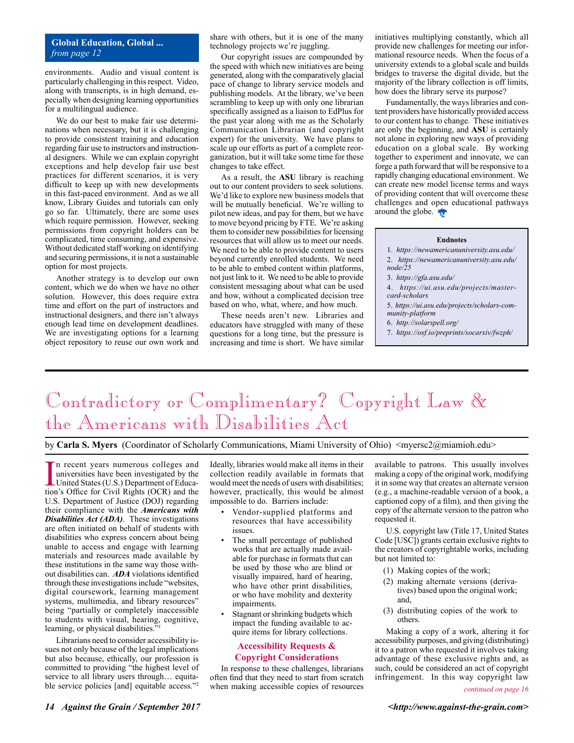### **Global Education, Global ...** *from page 12*

environments. Audio and visual content is particularly challenging in this respect. Video, along with transcripts, is in high demand, especially when designing learning opportunities for a multilingual audience.

We do our best to make fair use determinations when necessary, but it is challenging to provide consistent training and education regarding fair use to instructors and instructional designers. While we can explain copyright exceptions and help develop fair use best practices for different scenarios, it is very difficult to keep up with new developments in this fast-paced environment. And as we all know, Library Guides and tutorials can only go so far. Ultimately, there are some uses which require permission. However, seeking permissions from copyright holders can be complicated, time consuming, and expensive. Without dedicated staff working on identifying and securing permissions, it is not a sustainable option for most projects.

Another strategy is to develop our own content, which we do when we have no other solution. However, this does require extra time and effort on the part of instructors and instructional designers, and there isn't always enough lead time on development deadlines. We are investigating options for a learning object repository to reuse our own work and

share with others, but it is one of the many technology projects we're juggling.

Our copyright issues are compounded by the speed with which new initiatives are being generated, along with the comparatively glacial pace of change to library service models and publishing models. At the library, we've been scrambling to keep up with only one librarian specifically assigned as a liaison to EdPlus for the past year along with me as the Scholarly Communication Librarian (and copyright expert) for the university. We have plans to scale up our efforts as part of a complete reorganization, but it will take some time for these changes to take effect.

As a result, the **ASU** library is reaching out to our content providers to seek solutions. We'd like to explore new business models that will be mutually beneficial. We're willing to pilot new ideas, and pay for them, but we have to move beyond pricing by FTE. We're asking them to consider new possibilities for licensing resources that will allow us to meet our needs. We need to be able to provide content to users beyond currently enrolled students. We need to be able to embed content within platforms, not just link to it. We need to be able to provide consistent messaging about what can be used and how, without a complicated decision tree based on who, what, where, and how much.

These needs aren't new. Libraries and educators have struggled with many of these questions for a long time, but the pressure is increasing and time is short. We have similar initiatives multiplying constantly, which all provide new challenges for meeting our informational resource needs. When the focus of a university extends to a global scale and builds bridges to traverse the digital divide, but the majority of the library collection is off limits, how does the library serve its purpose?

Fundamentally, the ways libraries and content providers have historically provided access to our content has to change. These initiatives are only the beginning, and **ASU** is certainly not alone in exploring new ways of providing education on a global scale. By working together to experiment and innovate, we can forge a path forward that will be responsive to a rapidly changing educational environment. We can create new model license terms and ways of providing content that will overcome these challenges and open educational pathways around the globe.

#### **Endnotes**

- 1. *https://newamericanuniversity.asu.edu/*
- 2. *https://newamericanuniversity.asu.edu/ node/25*
- 3. *https://gfa.asu.edu/*
- 4. *https://ui.asu.edu/projects/master-*
- *card-scholars* 5. *https://ui.asu.edu/projects/scholars-com-*
- *munity-platform*
- 6. *http://solarspell.org/*
- 7. *https://osf.io/preprints/socarxiv/fwzph/*

# Contradictory or Complimentary? Copyright Law & the Americans with Disabilities Act

by **Carla S. Myers** (Coordinator of Scholarly Communications, Miami University of Ohio) <myersc2@miamioh.edu>

In recent years numerous colleges and<br>universities have been investigated by the<br>United States (U.S.) Department of Educa-<br>tion's Office for Civil Rights (OCR) and the n recent years numerous colleges and universities have been investigated by the tion's Office for Civil Rights (OCR) and the U.S. Department of Justice (DOJ) regarding their compliance with the *Americans with Disabilities Act (ADA)*. These investigations are often initiated on behalf of students with disabilities who express concern about being unable to access and engage with learning materials and resources made available by these institutions in the same way those without disabilities can. *ADA* violations identified through these investigations include "websites, digital coursework, learning management systems, multimedia, and library resources" being "partially or completely inaccessible to students with visual, hearing, cognitive, learning, or physical disabilities.

Librarians need to consider accessibility issues not only because of the legal implications but also because, ethically, our profession is committed to providing "the highest level of service to all library users through… equitable service policies [and] equitable access."<sup>2</sup> Ideally, libraries would make all items in their collection readily available in formats that would meet the needs of users with disabilities; however, practically, this would be almost impossible to do. Barriers include:

- Vendor-supplied platforms and resources that have accessibility issues.
- The small percentage of published works that are actually made available for purchase in formats that can be used by those who are blind or visually impaired, hard of hearing, who have other print disabilities, or who have mobility and dexterity impairments.
- Stagnant or shrinking budgets which impact the funding available to acquire items for library collections.

#### **Accessibility Requests & Copyright Considerations**

In response to these challenges, librarians often find that they need to start from scratch when making accessible copies of resources

available to patrons. This usually involves making a copy of the original work, modifying it in some way that creates an alternate version (e.g., a machine-readable version of a book, a captioned copy of a film), and then giving the copy of the alternate version to the patron who requested it.

U.S. copyright law (Title 17, United States Code [USC]) grants certain exclusive rights to the creators of copyrightable works, including but not limited to:

- (1) Making copies of the work;
- (2) making alternate versions (derivatives) based upon the original work; and,
- (3) distributing copies of the work to others.

Making a copy of a work, altering it for accessibility purposes, and giving (distributing) it to a patron who requested it involves taking advantage of these exclusive rights and, as such, could be considered an act of copyright infringement. In this way copyright law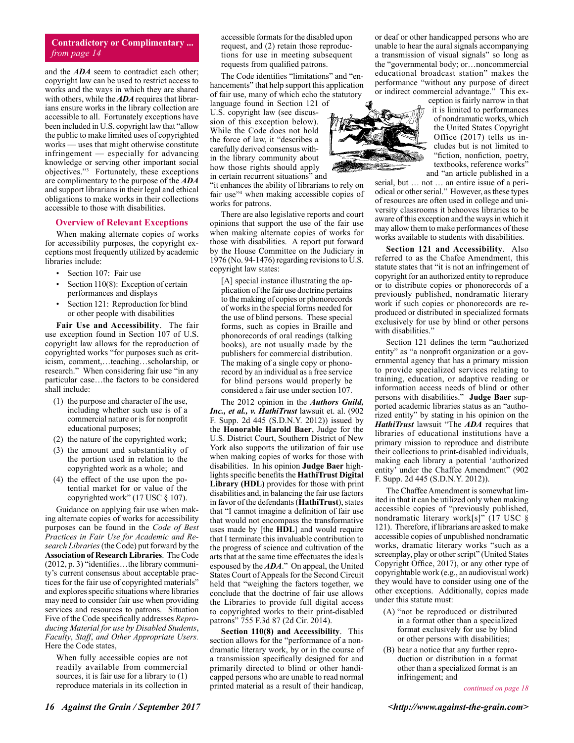#### **Contradictory or Complimentary ...** *from page 14*

and the *ADA* seem to contradict each other; copyright law can be used to restrict access to works and the ways in which they are shared with others, while the *ADA* requires that librarians ensure works in the library collection are accessible to all. Fortunately exceptions have been included in U.S. copyright law that "allow the public to make limited uses of copyrighted works — uses that might otherwise constitute infringement — especially for advancing knowledge or serving other important social objectives."3 Fortunately, these exceptions are complimentary to the purpose of the *ADA* and support librarians in their legal and ethical obligations to make works in their collections accessible to those with disabilities.

#### **Overview of Relevant Exceptions**

When making alternate copies of works for accessibility purposes, the copyright exceptions most frequently utilized by academic libraries include:

- Section 107: Fair use
- Section 110(8): Exception of certain performances and displays
- Section 121: Reproduction for blind or other people with disabilities

**Fair Use and Accessibility**. The fair use exception found in Section 107 of U.S. copyright law allows for the reproduction of copyrighted works "for purposes such as criticism, comment,…teaching…scholarship, or research." When considering fair use "in any particular case…the factors to be considered shall include:

- (1) the purpose and character of the use, including whether such use is of a commercial nature or is for nonprofit educational purposes;
- (2) the nature of the copyrighted work;
- (3) the amount and substantiality of the portion used in relation to the copyrighted work as a whole; and
- (4) the effect of the use upon the potential market for or value of the copyrighted work" (17 USC § 107).

Guidance on applying fair use when making alternate copies of works for accessibility purposes can be found in the *Code of Best Practices in Fair Use for Academic and Research Libraries* (the Code) put forward by the **Association of Research Libraries**. The Code (2012, p. 3) "identifies…the library community's current consensus about acceptable practices for the fair use of copyrighted materials" and explores specific situations where libraries may need to consider fair use when providing services and resources to patrons. Situation Five of the Code specifically addresses *Reproducing Material for use by Disabled Students*, *Faculty*, *Staff*, *and Other Appropriate Users.*  Here the Code states,

When fully accessible copies are not readily available from commercial sources, it is fair use for a library to (1) reproduce materials in its collection in

accessible formats for the disabled upon request, and (2) retain those reproductions for use in meeting subsequent requests from qualified patrons.

The Code identifies "limitations" and "enhancements" that help support this application of fair use, many of which echo the statutory

language found in Section 121 of U.S. copyright law (see discussion of this exception below). While the Code does not hold the force of law, it "describes a carefully derived consensus within the library community about how those rights should apply in certain recurrent situations" and

"it enhances the ability of librarians to rely on fair use"4 when making accessible copies of works for patrons.

There are also legislative reports and court opinions that support the use of the fair use when making alternate copies of works for those with disabilities. A report put forward by the House Committee on the Judiciary in 1976 (No. 94-1476) regarding revisions to U.S. copyright law states:

[A] special instance illustrating the application of the fair use doctrine pertains to the making of copies or phonorecords of works in the special forms needed for the use of blind persons. These special forms, such as copies in Braille and phonorecords of oral readings (talking books), are not usually made by the publishers for commercial distribution. The making of a single copy or phonorecord by an individual as a free service for blind persons would properly be considered a fair use under section 107.

The 2012 opinion in the *Authors Guild, Inc., et al., v. HathiTrust* lawsuit et. al. (902 F. Supp. 2d 445 (S.D.N.Y. 2012)) issued by the **Honorable Harold Baer**, Judge for the U.S. District Court, Southern District of New York also supports the utilization of fair use when making copies of works for those with disabilities. In his opinion **Judge Baer** highlights specific benefits the **HathiTrust Digital Library (HDL)** provides for those with print disabilities and, in balancing the fair use factors in favor of the defendants (**HathiTrust**), states that "I cannot imagine a definition of fair use that would not encompass the transformative uses made by [the **HDL**] and would require that I terminate this invaluable contribution to the progress of science and cultivation of the arts that at the same time effectuates the ideals espoused by the *ADA*." On appeal, the United States Court of Appeals for the Second Circuit held that "weighing the factors together, we conclude that the doctrine of fair use allows the Libraries to provide full digital access to copyrighted works to their print-disabled patrons" 755 F.3d 87 (2d Cir. 2014).

**Section 110(8) and Accessibility**. This section allows for the "performance of a nondramatic literary work, by or in the course of a transmission specifically designed for and primarily directed to blind or other handicapped persons who are unable to read normal printed material as a result of their handicap,

or deaf or other handicapped persons who are unable to hear the aural signals accompanying a transmission of visual signals" so long as the "governmental body; or…noncommercial educational broadcast station" makes the performance "without any purpose of direct or indirect commercial advantage." This ex-



ception is fairly narrow in that it is limited to performances of nondramatic works, which the United States Copyright Office (2017) tells us includes but is not limited to "fiction, nonfiction, poetry, textbooks, reference works" and "an article published in a

serial, but … not … an entire issue of a periodical or other serial." However, as these types of resources are often used in college and university classrooms it behooves libraries to be aware of this exception and the ways in which it may allow them to make performances of these works available to students with disabilities.

**Section 121 and Accessibility**. Also referred to as the Chafee Amendment, this statute states that "it is not an infringement of copyright for an authorized entity to reproduce or to distribute copies or phonorecords of a previously published, nondramatic literary work if such copies or phonorecords are reproduced or distributed in specialized formats exclusively for use by blind or other persons with disabilities."

Section 121 defines the term "authorized entity" as "a nonprofit organization or a governmental agency that has a primary mission to provide specialized services relating to training, education, or adaptive reading or information access needs of blind or other persons with disabilities." **Judge Baer** supported academic libraries status as an "authorized entity" by stating in his opinion on the *HathiTrust* lawsuit "The *ADA* requires that libraries of educational institutions have a primary mission to reproduce and distribute their collections to print-disabled individuals, making each library a potential 'authorized entity' under the Chaffee Amendment" (902 F. Supp. 2d 445 (S.D.N.Y. 2012)).

The Chaffee Amendment is somewhat limited in that it can be utilized only when making accessible copies of "previously published, nondramatic literary work[s]" (17 USC § 121). Therefore, if librarians are asked to make accessible copies of unpublished nondramatic works, dramatic literary works "such as a screenplay, play or other script" (United States Copyright Office, 2017), or any other type of copyrightable work (e.g., an audiovisual work) they would have to consider using one of the other exceptions. Additionally, copies made under this statute must:

- (A) "not be reproduced or distributed in a format other than a specialized format exclusively for use by blind or other persons with disabilities;
- (B) bear a notice that any further reproduction or distribution in a format other than a specialized format is an infringement; and